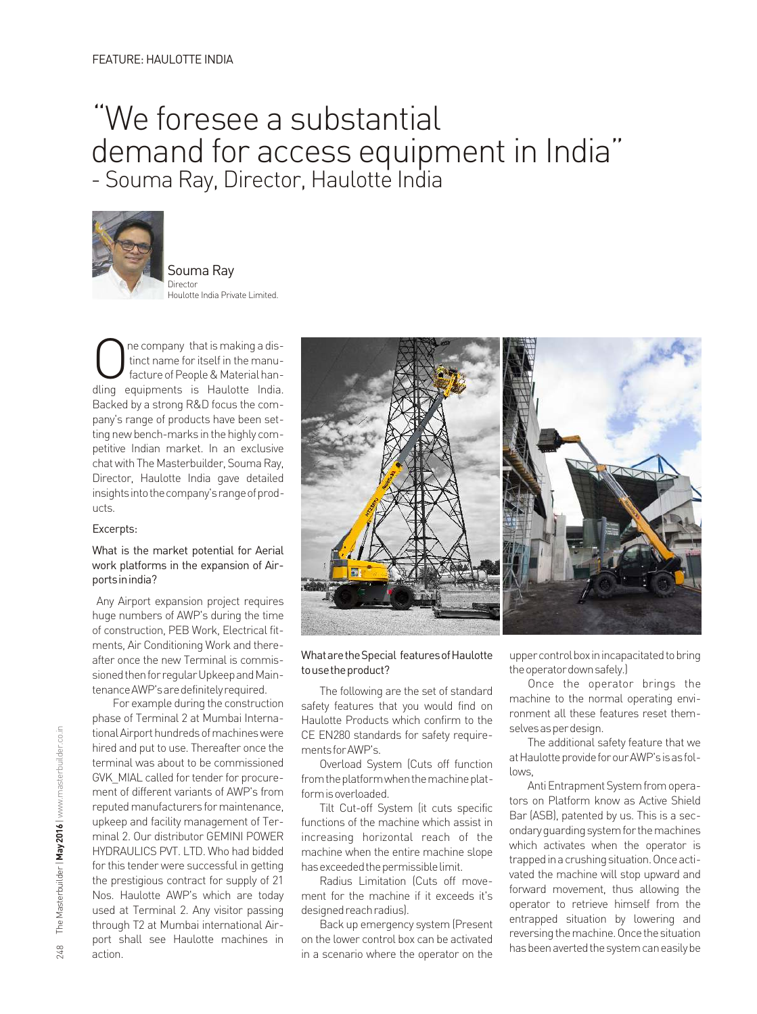# "We foresee a substantial demand for access equipment in India" - Souma Ray, Director, Haulotte India



Souma Ray Director Houlotte India Private Limited.

**inct name for itself in the manu-**<br>facture of People & Material han-<br>dling equipments is Haulotte India dling equipments is Haulotte India. Backed by a strong R&D focus the company's range of products have been setting new bench-marks in the highly competitive Indian market. In an exclusive chat with The Masterbuilder, Souma Ray, Director, Haulotte India gave detailed insights into the company's range of products.

#### Excerpts:

### What is the market potential for Aerial work platforms in the expansion of Airportsinindia?

Any Airport expansion project requires huge numbers of AWP's during the time of construction, PEB Work, Electrical fitments, Air Conditioning Work and thereafter once the new Terminal is commissioned then for regular Upkeep and Maintenance AWP's are definitely required.

For example during the construction phase of Terminal 2 at Mumbai International Airport hundreds of machines were hired and put to use. Thereafter once the terminal was about to be commissioned GVK\_MIAL called for tender for procurement of different variants of AWP's from reputed manufacturers for maintenance, upkeep and facility management of Terminal 2. Our distributor GEMINI POWER HYDRAULICS PVT. LTD. Who had bidded for this tender were successful in getting the prestigious contract for supply of 21 Nos. Haulotte AWP's which are today used at Terminal 2. Any visitor passing through T2 at Mumbai international Airport shall see Haulotte machines in action.



### WhataretheSpecial featuresofHaulotte tousetheproduct?

The following are the set of standard safety features that you would find on Haulotte Products which confirm to the CE EN280 standards for safety requirementsforAWP's.

Overload System (Cuts off function from the platform when the machine platformisoverloaded.

Tilt Cut-off System (it cuts specific functions of the machine which assist in increasing horizontal reach of the machine when the entire machine slope has exceeded the permissible limit.

Radius Limitation (Cuts off movement for the machine if it exceeds it's designed reach radius).

Back up emergency system (Present on the lower control box can be activated in a scenario where the operator on the upper control box in incapacitated to bring the operator down safely.)

Once the operator brings the machine to the normal operating environment all these features reset themselvesasperdesign.

The additional safety feature that we at Haulotte provide for our AWP's is as follows,

Anti Entrapment System from operators on Platform know as Active Shield Bar (ASB), patented by us. This is a secondary guarding system for the machines which activates when the operator is trapped in a crushing situation. Once activated the machine will stop upward and forward movement, thus allowing the operator to retrieve himself from the entrapped situation by lowering and reversing the machine. Once the situation has been averted the system can easily be